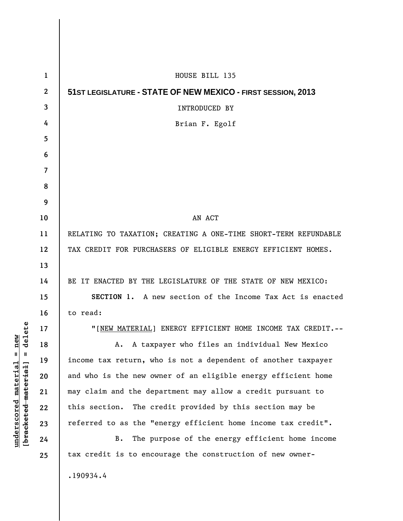| 1                | HOUSE BILL 135                                                  |
|------------------|-----------------------------------------------------------------|
| $\boldsymbol{2}$ | 51ST LEGISLATURE - STATE OF NEW MEXICO - FIRST SESSION, 2013    |
| 3                | <b>INTRODUCED BY</b>                                            |
| 4                | Brian F. Egolf                                                  |
| 5                |                                                                 |
| 6                |                                                                 |
| 7                |                                                                 |
| 8                |                                                                 |
| 9                |                                                                 |
| 10               | AN ACT                                                          |
| 11               | RELATING TO TAXATION; CREATING A ONE-TIME SHORT-TERM REFUNDABLE |
| 12               | TAX CREDIT FOR PURCHASERS OF ELIGIBLE ENERGY EFFICIENT HOMES.   |
| 13               |                                                                 |
| 14               | BE IT ENACTED BY THE LEGISLATURE OF THE STATE OF NEW MEXICO:    |
| 15               | SECTION 1. A new section of the Income Tax Act is enacted       |
| 16               | to read:                                                        |
| 17               | "[NEW MATERIAL] ENERGY EFFICIENT HOME INCOME TAX CREDIT.--      |
| 18               | A. A taxpayer who files an individual New Mexico                |
| 19               | income tax return, who is not a dependent of another taxpayer   |
| 20               | and who is the new owner of an eligible energy efficient home   |
| 21               | may claim and the department may allow a credit pursuant to     |
| 22               | this section. The credit provided by this section may be        |
| 23               | referred to as the "energy efficient home income tax credit".   |
| 24               | The purpose of the energy efficient home income<br>В.           |
| 25               | tax credit is to encourage the construction of new owner-       |
|                  | .190934.4                                                       |

**underscored material = new [bracketed material] = delete**

 $[**bracket eted metert et**] = **del et e**$  $underscored material = new$ 

 $\overline{\phantom{a}}$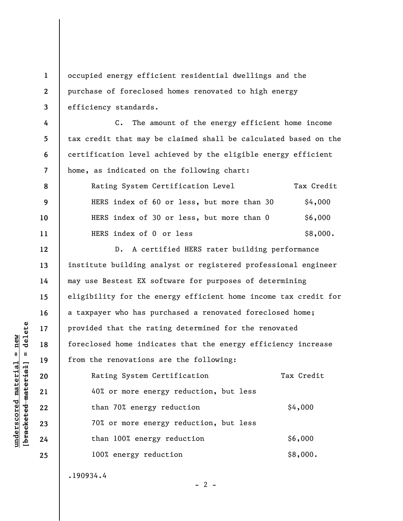**1 2 3 4 5 6 7 8 9 10 11 12 13 14 15 16 17 18 19 20 21 22 23 24 25**  occupied energy efficient residential dwellings and the purchase of foreclosed homes renovated to high energy efficiency standards. C. The amount of the energy efficient home income tax credit that may be claimed shall be calculated based on the certification level achieved by the eligible energy efficient home, as indicated on the following chart: Rating System Certification Level Tax Credit HERS index of 60 or less, but more than  $30$  \$4,000 HERS index of 30 or less, but more than  $0$   $$6,000$ HERS index of  $0$  or less  $$8,000$ . D. A certified HERS rater building performance institute building analyst or registered professional engineer may use Bestest EX software for purposes of determining eligibility for the energy efficient home income tax credit for a taxpayer who has purchased a renovated foreclosed home; provided that the rating determined for the renovated foreclosed home indicates that the energy efficiency increase from the renovations are the following: Rating System Certification Tax Credit 40% or more energy reduction, but less than 70% energy reduction  $$4,000$ 70% or more energy reduction, but less than 100% energy reduction  $$6,000$ 100% energy reduction  $$8,000$ . .190934.4

 $\frac{1}{2}$  intereted material = delete **[bracketed material] = delete**  $underscored material = new$ **underscored material = new**

 $- 2 -$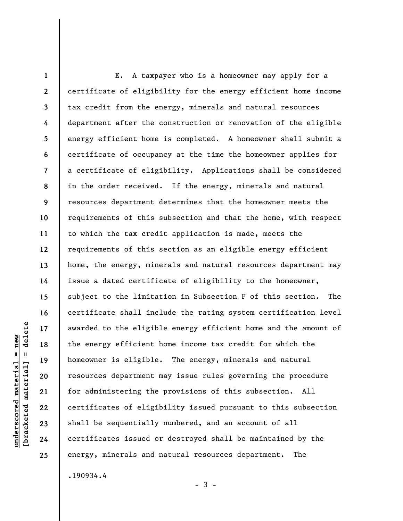**1 2 3 4 5 6 7 8 9 10 11 12 13 14 15 16 17 18 19 20 21 22 23 24 25**  E. A taxpayer who is a homeowner may apply for a certificate of eligibility for the energy efficient home income tax credit from the energy, minerals and natural resources department after the construction or renovation of the eligible energy efficient home is completed. A homeowner shall submit a certificate of occupancy at the time the homeowner applies for a certificate of eligibility. Applications shall be considered in the order received. If the energy, minerals and natural resources department determines that the homeowner meets the requirements of this subsection and that the home, with respect to which the tax credit application is made, meets the requirements of this section as an eligible energy efficient home, the energy, minerals and natural resources department may issue a dated certificate of eligibility to the homeowner, subject to the limitation in Subsection F of this section. The certificate shall include the rating system certification level awarded to the eligible energy efficient home and the amount of the energy efficient home income tax credit for which the homeowner is eligible. The energy, minerals and natural resources department may issue rules governing the procedure for administering the provisions of this subsection. All certificates of eligibility issued pursuant to this subsection shall be sequentially numbered, and an account of all certificates issued or destroyed shall be maintained by the energy, minerals and natural resources department. The .190934.4

 $-3 -$ 

delete **[bracketed material] = delete**  $anderscored material = new$ **underscored material = new**  $\mathbf{I}$ bracketed material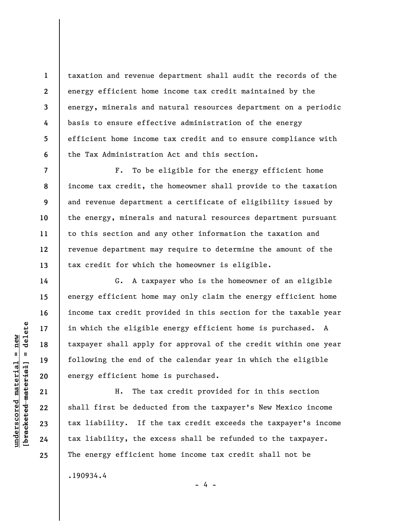taxation and revenue department shall audit the records of the energy efficient home income tax credit maintained by the energy, minerals and natural resources department on a periodic basis to ensure effective administration of the energy efficient home income tax credit and to ensure compliance with the Tax Administration Act and this section.

F. To be eligible for the energy efficient home income tax credit, the homeowner shall provide to the taxation and revenue department a certificate of eligibility issued by the energy, minerals and natural resources department pursuant to this section and any other information the taxation and revenue department may require to determine the amount of the tax credit for which the homeowner is eligible.

G. A taxpayer who is the homeowner of an eligible energy efficient home may only claim the energy efficient home income tax credit provided in this section for the taxable year in which the eligible energy efficient home is purchased. A taxpayer shall apply for approval of the credit within one year following the end of the calendar year in which the eligible energy efficient home is purchased.

H. The tax credit provided for in this section shall first be deducted from the taxpayer's New Mexico income tax liability. If the tax credit exceeds the taxpayer's income tax liability, the excess shall be refunded to the taxpayer. The energy efficient home income tax credit shall not be .190934.4

 $\frac{1}{2}$  intereted material = delete **[bracketed material] = delete**  $underscored$  material = new **underscored material = new**

**1** 

**2** 

**3** 

**4** 

**5** 

**6** 

**7** 

**8** 

**9** 

**10** 

**11** 

**12** 

**13** 

**14** 

**15** 

**16** 

**17** 

**18** 

**19** 

**20** 

**21** 

**22** 

**23** 

**24** 

**25** 

- 4 -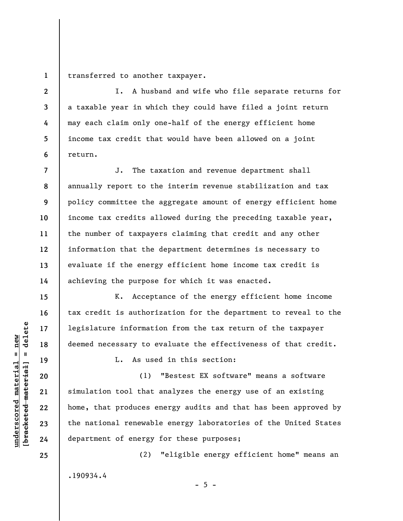**1**  transferred to another taxpayer.

I. A husband and wife who file separate returns for a taxable year in which they could have filed a joint return may each claim only one-half of the energy efficient home income tax credit that would have been allowed on a joint return.

**7 8 9 10 11 12 13 14**  J. The taxation and revenue department shall annually report to the interim revenue stabilization and tax policy committee the aggregate amount of energy efficient home income tax credits allowed during the preceding taxable year, the number of taxpayers claiming that credit and any other information that the department determines is necessary to evaluate if the energy efficient home income tax credit is achieving the purpose for which it was enacted.

K. Acceptance of the energy efficient home income tax credit is authorization for the department to reveal to the legislature information from the tax return of the taxpayer deemed necessary to evaluate the effectiveness of that credit.

L. As used in this section:

(1) "Bestest EX software" means a software simulation tool that analyzes the energy use of an existing home, that produces energy audits and that has been approved by the national renewable energy laboratories of the United States department of energy for these purposes;

.190934.4

(2) "eligible energy efficient home" means an

 $- 5 -$ 

 $\frac{1}{2}$  of  $\frac{1}{2}$  and  $\frac{1}{2}$  and  $\frac{1}{2}$  and  $\frac{1}{2}$  and  $\frac{1}{2}$  and  $\frac{1}{2}$  and  $\frac{1}{2}$  and  $\frac{1}{2}$  and  $\frac{1}{2}$  and  $\frac{1}{2}$  and  $\frac{1}{2}$  and  $\frac{1}{2}$  and  $\frac{1}{2}$  and  $\frac{1}{2}$  and  $\frac{1}{2}$  an **[bracketed material] = delete**  $underscored material = new$ **underscored material = new**

**2** 

**3** 

**4** 

**5** 

**6** 

**15** 

**16** 

**17** 

**18** 

**19** 

**20** 

**21** 

**22** 

**23** 

**24** 

**25**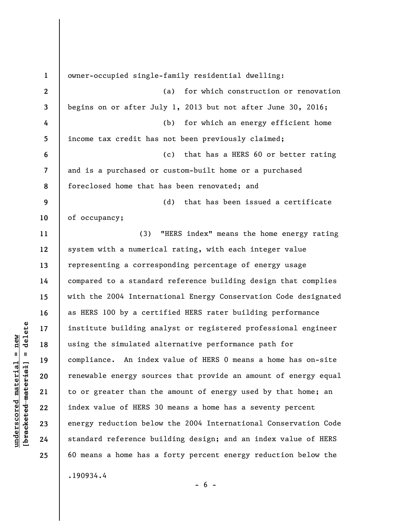**1 2 3 4 5 6 7 8 9 10 11 12 13 14 15 16 17 18 19 20 21 22 23 24 25**  owner-occupied single-family residential dwelling: (a) for which construction or renovation begins on or after July 1, 2013 but not after June 30, 2016; (b) for which an energy efficient home income tax credit has not been previously claimed; (c) that has a HERS 60 or better rating and is a purchased or custom-built home or a purchased foreclosed home that has been renovated; and (d) that has been issued a certificate of occupancy; (3) "HERS index" means the home energy rating system with a numerical rating, with each integer value representing a corresponding percentage of energy usage compared to a standard reference building design that complies with the 2004 International Energy Conservation Code designated as HERS 100 by a certified HERS rater building performance institute building analyst or registered professional engineer using the simulated alternative performance path for compliance. An index value of HERS 0 means a home has on-site renewable energy sources that provide an amount of energy equal to or greater than the amount of energy used by that home; an index value of HERS 30 means a home has a seventy percent energy reduction below the 2004 International Conservation Code standard reference building design; and an index value of HERS 60 means a home has a forty percent energy reduction below the .190934.4

 $\frac{1}{2}$  of  $\frac{1}{2}$  and  $\frac{1}{2}$  and  $\frac{1}{2}$  and  $\frac{1}{2}$  and  $\frac{1}{2}$  and  $\frac{1}{2}$  and  $\frac{1}{2}$  and  $\frac{1}{2}$  and  $\frac{1}{2}$  and  $\frac{1}{2}$  and  $\frac{1}{2}$  and  $\frac{1}{2}$  and  $\frac{1}{2}$  and  $\frac{1}{2}$  and  $\frac{1}{2}$  an **[bracketed material] = delete**  $underscored material = new$ **underscored material = new**

 $- 6 -$